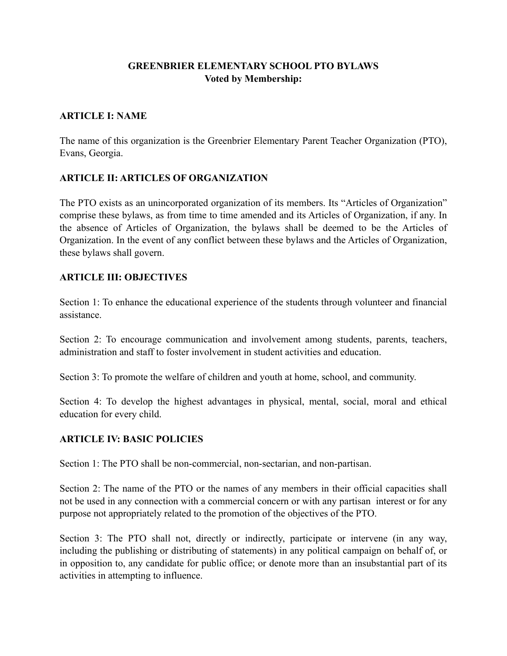#### **GREENBRIER ELEMENTARY SCHOOL PTO BYLAWS Voted by Membership:**

#### **ARTICLE I: NAME**

The name of this organization is the Greenbrier Elementary Parent Teacher Organization (PTO), Evans, Georgia.

#### **ARTICLE II: ARTICLES OF ORGANIZATION**

The PTO exists as an unincorporated organization of its members. Its "Articles of Organization" comprise these bylaws, as from time to time amended and its Articles of Organization, if any. In the absence of Articles of Organization, the bylaws shall be deemed to be the Articles of Organization. In the event of any conflict between these bylaws and the Articles of Organization, these bylaws shall govern.

#### **ARTICLE III: OBJECTIVES**

Section 1: To enhance the educational experience of the students through volunteer and financial assistance.

Section 2: To encourage communication and involvement among students, parents, teachers, administration and staff to foster involvement in student activities and education.

Section 3: To promote the welfare of children and youth at home, school, and community.

Section 4: To develop the highest advantages in physical, mental, social, moral and ethical education for every child.

#### **ARTICLE IV: BASIC POLICIES**

Section 1: The PTO shall be non-commercial, non-sectarian, and non-partisan.

Section 2: The name of the PTO or the names of any members in their official capacities shall not be used in any connection with a commercial concern or with any partisan interest or for any purpose not appropriately related to the promotion of the objectives of the PTO.

Section 3: The PTO shall not, directly or indirectly, participate or intervene (in any way, including the publishing or distributing of statements) in any political campaign on behalf of, or in opposition to, any candidate for public office; or denote more than an insubstantial part of its activities in attempting to influence.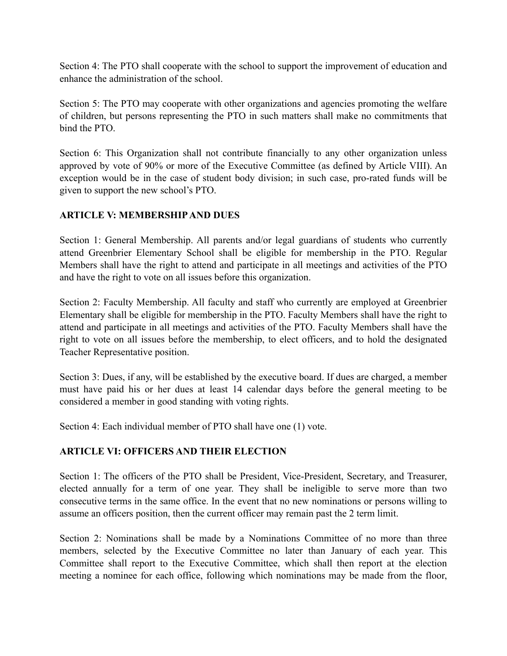Section 4: The PTO shall cooperate with the school to support the improvement of education and enhance the administration of the school.

Section 5: The PTO may cooperate with other organizations and agencies promoting the welfare of children, but persons representing the PTO in such matters shall make no commitments that bind the PTO.

Section 6: This Organization shall not contribute financially to any other organization unless approved by vote of 90% or more of the Executive Committee (as defined by Article VIII). An exception would be in the case of student body division; in such case, pro-rated funds will be given to support the new school's PTO.

# **ARTICLE V: MEMBERSHIP AND DUES**

Section 1: General Membership. All parents and/or legal guardians of students who currently attend Greenbrier Elementary School shall be eligible for membership in the PTO. Regular Members shall have the right to attend and participate in all meetings and activities of the PTO and have the right to vote on all issues before this organization.

Section 2: Faculty Membership. All faculty and staff who currently are employed at Greenbrier Elementary shall be eligible for membership in the PTO. Faculty Members shall have the right to attend and participate in all meetings and activities of the PTO. Faculty Members shall have the right to vote on all issues before the membership, to elect officers, and to hold the designated Teacher Representative position.

Section 3: Dues, if any, will be established by the executive board. If dues are charged, a member must have paid his or her dues at least 14 calendar days before the general meeting to be considered a member in good standing with voting rights.

Section 4: Each individual member of PTO shall have one (1) vote.

# **ARTICLE VI: OFFICERS AND THEIR ELECTION**

Section 1: The officers of the PTO shall be President, Vice-President, Secretary, and Treasurer, elected annually for a term of one year. They shall be ineligible to serve more than two consecutive terms in the same office. In the event that no new nominations or persons willing to assume an officers position, then the current officer may remain past the 2 term limit.

Section 2: Nominations shall be made by a Nominations Committee of no more than three members, selected by the Executive Committee no later than January of each year. This Committee shall report to the Executive Committee, which shall then report at the election meeting a nominee for each office, following which nominations may be made from the floor,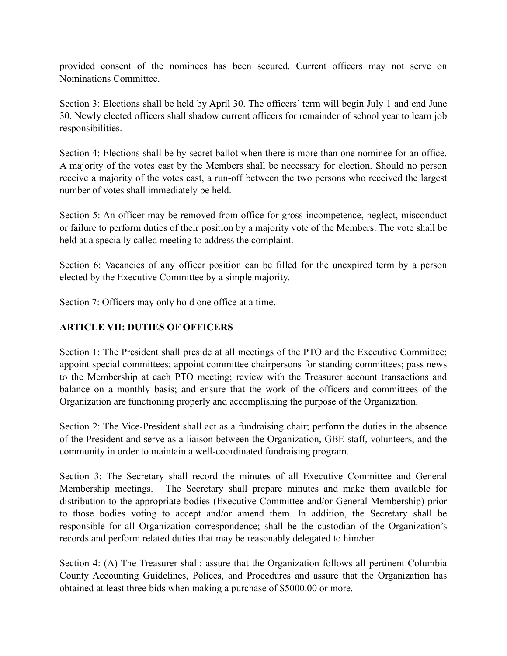provided consent of the nominees has been secured. Current officers may not serve on Nominations Committee.

Section 3: Elections shall be held by April 30. The officers' term will begin July 1 and end June 30. Newly elected officers shall shadow current officers for remainder of school year to learn job responsibilities.

Section 4: Elections shall be by secret ballot when there is more than one nominee for an office. A majority of the votes cast by the Members shall be necessary for election. Should no person receive a majority of the votes cast, a run-off between the two persons who received the largest number of votes shall immediately be held.

Section 5: An officer may be removed from office for gross incompetence, neglect, misconduct or failure to perform duties of their position by a majority vote of the Members. The vote shall be held at a specially called meeting to address the complaint.

Section 6: Vacancies of any officer position can be filled for the unexpired term by a person elected by the Executive Committee by a simple majority.

Section 7: Officers may only hold one office at a time.

#### **ARTICLE VII: DUTIES OF OFFICERS**

Section 1: The President shall preside at all meetings of the PTO and the Executive Committee; appoint special committees; appoint committee chairpersons for standing committees; pass news to the Membership at each PTO meeting; review with the Treasurer account transactions and balance on a monthly basis; and ensure that the work of the officers and committees of the Organization are functioning properly and accomplishing the purpose of the Organization.

Section 2: The Vice-President shall act as a fundraising chair; perform the duties in the absence of the President and serve as a liaison between the Organization, GBE staff, volunteers, and the community in order to maintain a well-coordinated fundraising program.

Section 3: The Secretary shall record the minutes of all Executive Committee and General Membership meetings. The Secretary shall prepare minutes and make them available for distribution to the appropriate bodies (Executive Committee and/or General Membership) prior to those bodies voting to accept and/or amend them. In addition, the Secretary shall be responsible for all Organization correspondence; shall be the custodian of the Organization's records and perform related duties that may be reasonably delegated to him/her.

Section 4: (A) The Treasurer shall: assure that the Organization follows all pertinent Columbia County Accounting Guidelines, Polices, and Procedures and assure that the Organization has obtained at least three bids when making a purchase of \$5000.00 or more.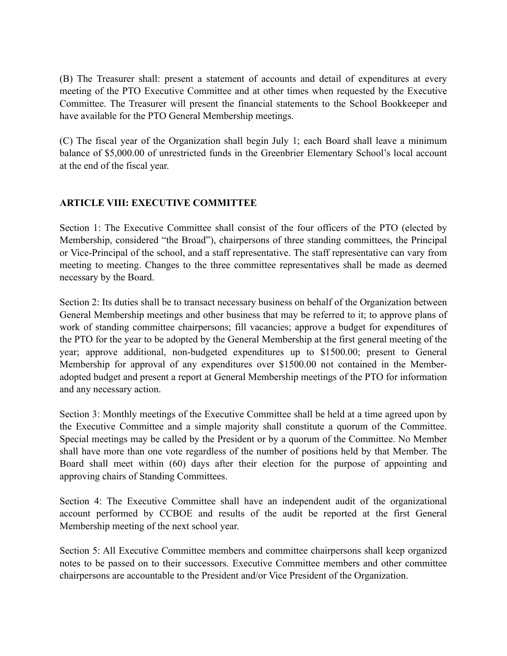(B) The Treasurer shall: present a statement of accounts and detail of expenditures at every meeting of the PTO Executive Committee and at other times when requested by the Executive Committee. The Treasurer will present the financial statements to the School Bookkeeper and have available for the PTO General Membership meetings.

(C) The fiscal year of the Organization shall begin July 1; each Board shall leave a minimum balance of \$5,000.00 of unrestricted funds in the Greenbrier Elementary School's local account at the end of the fiscal year.

# **ARTICLE VIII: EXECUTIVE COMMITTEE**

Section 1: The Executive Committee shall consist of the four officers of the PTO (elected by Membership, considered "the Broad"), chairpersons of three standing committees, the Principal or Vice-Principal of the school, and a staff representative. The staff representative can vary from meeting to meeting. Changes to the three committee representatives shall be made as deemed necessary by the Board.

Section 2: Its duties shall be to transact necessary business on behalf of the Organization between General Membership meetings and other business that may be referred to it; to approve plans of work of standing committee chairpersons; fill vacancies; approve a budget for expenditures of the PTO for the year to be adopted by the General Membership at the first general meeting of the year; approve additional, non-budgeted expenditures up to \$1500.00; present to General Membership for approval of any expenditures over \$1500.00 not contained in the Memberadopted budget and present a report at General Membership meetings of the PTO for information and any necessary action.

Section 3: Monthly meetings of the Executive Committee shall be held at a time agreed upon by the Executive Committee and a simple majority shall constitute a quorum of the Committee. Special meetings may be called by the President or by a quorum of the Committee. No Member shall have more than one vote regardless of the number of positions held by that Member. The Board shall meet within (60) days after their election for the purpose of appointing and approving chairs of Standing Committees.

Section 4: The Executive Committee shall have an independent audit of the organizational account performed by CCBOE and results of the audit be reported at the first General Membership meeting of the next school year.

Section 5: All Executive Committee members and committee chairpersons shall keep organized notes to be passed on to their successors. Executive Committee members and other committee chairpersons are accountable to the President and/or Vice President of the Organization.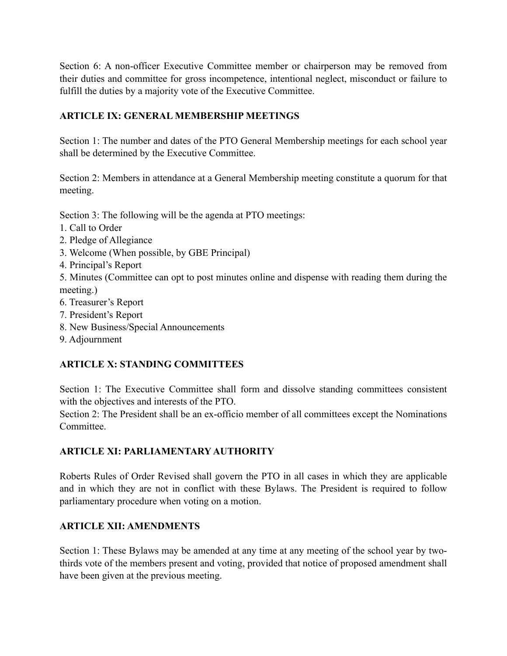Section 6: A non-officer Executive Committee member or chairperson may be removed from their duties and committee for gross incompetence, intentional neglect, misconduct or failure to fulfill the duties by a majority vote of the Executive Committee.

# **ARTICLE IX: GENERAL MEMBERSHIP MEETINGS**

Section 1: The number and dates of the PTO General Membership meetings for each school year shall be determined by the Executive Committee.

Section 2: Members in attendance at a General Membership meeting constitute a quorum for that meeting.

Section 3: The following will be the agenda at PTO meetings:

- 1. Call to Order
- 2. Pledge of Allegiance
- 3. Welcome (When possible, by GBE Principal)
- 4. Principal's Report

5. Minutes (Committee can opt to post minutes online and dispense with reading them during the meeting.)

- 6. Treasurer's Report
- 7. President's Report
- 8. New Business/Special Announcements
- 9. Adjournment

# **ARTICLE X: STANDING COMMITTEES**

Section 1: The Executive Committee shall form and dissolve standing committees consistent with the objectives and interests of the PTO.

Section 2: The President shall be an ex-officio member of all committees except the Nominations Committee.

# **ARTICLE XI: PARLIAMENTARY AUTHORITY**

Roberts Rules of Order Revised shall govern the PTO in all cases in which they are applicable and in which they are not in conflict with these Bylaws. The President is required to follow parliamentary procedure when voting on a motion.

# **ARTICLE XII: AMENDMENTS**

Section 1: These Bylaws may be amended at any time at any meeting of the school year by twothirds vote of the members present and voting, provided that notice of proposed amendment shall have been given at the previous meeting.